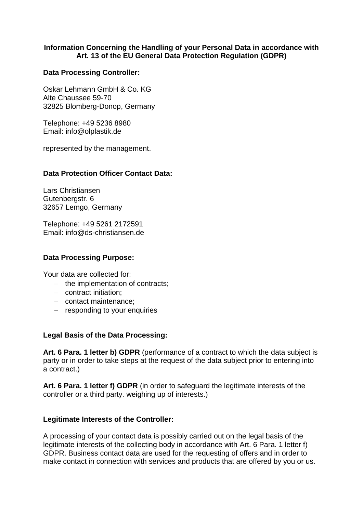## **Information Concerning the Handling of your Personal Data in accordance with Art. 13 of the EU General Data Protection Regulation (GDPR)**

## **Data Processing Controller:**

Oskar Lehmann GmbH & Co. KG Alte Chaussee 59-70 32825 Blomberg-Donop, Germany

Telephone: +49 5236 8980 Email: info@olplastik.de

represented by the management.

## **Data Protection Officer Contact Data:**

Lars Christiansen Gutenbergstr. 6 32657 Lemgo, Germany

Telephone: +49 5261 2172591 Email: info@ds-christiansen.de

### **Data Processing Purpose:**

Your data are collected for:

- $-$  the implementation of contracts;
- contract initiation:
- contact maintenance;
- responding to your enquiries

### **Legal Basis of the Data Processing:**

**Art. 6 Para. 1 letter b) GDPR** (performance of a contract to which the data subject is party or in order to take steps at the request of the data subject prior to entering into a contract.)

**Art. 6 Para. 1 letter f) GDPR** (in order to safeguard the legitimate interests of the controller or a third party. weighing up of interests.)

### **Legitimate Interests of the Controller:**

A processing of your contact data is possibly carried out on the legal basis of the legitimate interests of the collecting body in accordance with Art. 6 Para. 1 letter f) GDPR. Business contact data are used for the requesting of offers and in order to make contact in connection with services and products that are offered by you or us.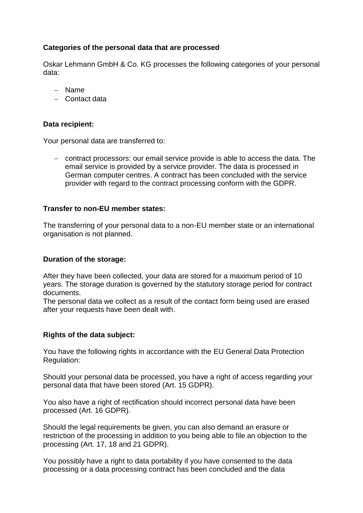# **Categories of the personal data that are processed**

Oskar Lehmann GmbH & Co. KG processes the following categories of your personal data:

- Name
- Contact data

# **Data recipient:**

Your personal data are transferred to:

 contract processors: our email service provide is able to access the data. The email service is provided by a service provider. The data is processed in German computer centres. A contract has been concluded with the service provider with regard to the contract processing conform with the GDPR.

## **Transfer to non-EU member states:**

The transferring of your personal data to a non-EU member state or an international organisation is not planned.

## **Duration of the storage:**

After they have been collected, your data are stored for a maximum period of 10 years. The storage duration is governed by the statutory storage period for contract documents.

The personal data we collect as a result of the contact form being used are erased after your requests have been dealt with.

# **Rights of the data subject:**

You have the following rights in accordance with the EU General Data Protection Regulation:

Should your personal data be processed, you have a right of access regarding your personal data that have been stored (Art. 15 GDPR).

You also have a right of rectification should incorrect personal data have been processed (Art. 16 GDPR).

Should the legal requirements be given, you can also demand an erasure or restriction of the processing in addition to you being able to file an objection to the processing (Art. 17, 18 and 21 GDPR).

You possibly have a right to data portability if you have consented to the data processing or a data processing contract has been concluded and the data